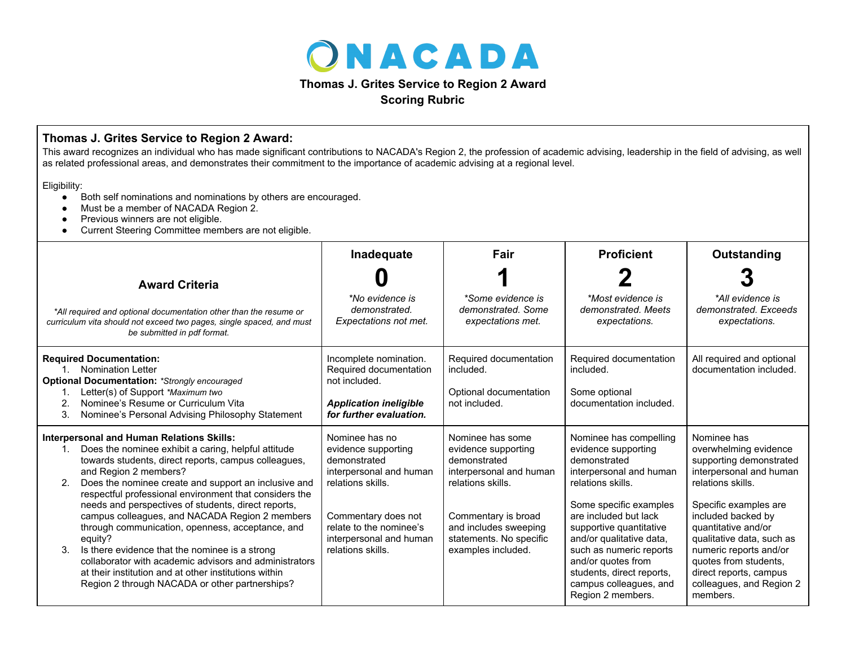

**Scoring Rubric**

## **Thomas J. Grites Service to Region 2 Award:**

This award recognizes an individual who has made significant contributions to NACADA's Region 2, the profession of academic advising, leadership in the field of advising, as well as related professional areas, and demonstrates their commitment to the importance of academic advising at a regional level.

Eligibility:

- Both self nominations and nominations by others are encouraged.
- Must be a member of NACADA Region 2.
- Previous winners are not eligible.
- Current Steering Committee members are not eligible.

|                                                                                                                                                                                                                                                                                                                                                                                                                                                                                                                                                                                                                                                                                                                       | Inadequate                                                                                                                                                                                              | Fair                                                                                                                                                                                                     | <b>Proficient</b>                                                                                                                                                                                                                                                                                                                                    | Outstanding                                                                                                                                                                                                                                                                                                                             |
|-----------------------------------------------------------------------------------------------------------------------------------------------------------------------------------------------------------------------------------------------------------------------------------------------------------------------------------------------------------------------------------------------------------------------------------------------------------------------------------------------------------------------------------------------------------------------------------------------------------------------------------------------------------------------------------------------------------------------|---------------------------------------------------------------------------------------------------------------------------------------------------------------------------------------------------------|----------------------------------------------------------------------------------------------------------------------------------------------------------------------------------------------------------|------------------------------------------------------------------------------------------------------------------------------------------------------------------------------------------------------------------------------------------------------------------------------------------------------------------------------------------------------|-----------------------------------------------------------------------------------------------------------------------------------------------------------------------------------------------------------------------------------------------------------------------------------------------------------------------------------------|
| <b>Award Criteria</b>                                                                                                                                                                                                                                                                                                                                                                                                                                                                                                                                                                                                                                                                                                 |                                                                                                                                                                                                         |                                                                                                                                                                                                          |                                                                                                                                                                                                                                                                                                                                                      |                                                                                                                                                                                                                                                                                                                                         |
| *All required and optional documentation other than the resume or<br>curriculum vita should not exceed two pages, single spaced, and must<br>be submitted in pdf format.                                                                                                                                                                                                                                                                                                                                                                                                                                                                                                                                              | *No evidence is<br>demonstrated.<br>Expectations not met.                                                                                                                                               | *Some evidence is<br>demonstrated. Some<br>expectations met.                                                                                                                                             | *Most evidence is<br>demonstrated. Meets<br>expectations.                                                                                                                                                                                                                                                                                            | *All evidence is<br>demonstrated. Exceeds<br>expectations.                                                                                                                                                                                                                                                                              |
| <b>Required Documentation:</b><br><b>Nomination Letter</b><br>$1_{\cdot}$<br><b>Optional Documentation: *Strongly encouraged</b><br>Letter(s) of Support *Maximum two<br>Nominee's Resume or Curriculum Vita<br>2.<br>3.<br>Nominee's Personal Advising Philosophy Statement                                                                                                                                                                                                                                                                                                                                                                                                                                          | Incomplete nomination.<br>Required documentation<br>not included.<br><b>Application ineligible</b><br>for further evaluation.                                                                           | Required documentation<br>included.<br>Optional documentation<br>not included.                                                                                                                           | Required documentation<br>included.<br>Some optional<br>documentation included.                                                                                                                                                                                                                                                                      | All required and optional<br>documentation included.                                                                                                                                                                                                                                                                                    |
| <b>Interpersonal and Human Relations Skills:</b><br>Does the nominee exhibit a caring, helpful attitude<br>1.<br>towards students, direct reports, campus colleagues,<br>and Region 2 members?<br>Does the nominee create and support an inclusive and<br>respectful professional environment that considers the<br>needs and perspectives of students, direct reports,<br>campus colleagues, and NACADA Region 2 members<br>through communication, openness, acceptance, and<br>equity?<br>Is there evidence that the nominee is a strong<br>3.<br>collaborator with academic advisors and administrators<br>at their institution and at other institutions within<br>Region 2 through NACADA or other partnerships? | Nominee has no<br>evidence supporting<br>demonstrated<br>interpersonal and human<br>relations skills.<br>Commentary does not<br>relate to the nominee's<br>interpersonal and human<br>relations skills. | Nominee has some<br>evidence supporting<br>demonstrated<br>interpersonal and human<br>relations skills.<br>Commentary is broad<br>and includes sweeping<br>statements. No specific<br>examples included. | Nominee has compelling<br>evidence supporting<br>demonstrated<br>interpersonal and human<br>relations skills.<br>Some specific examples<br>are included but lack<br>supportive quantitative<br>and/or qualitative data,<br>such as numeric reports<br>and/or quotes from<br>students, direct reports,<br>campus colleagues, and<br>Region 2 members. | Nominee has<br>overwhelming evidence<br>supporting demonstrated<br>interpersonal and human<br>relations skills.<br>Specific examples are<br>included backed by<br>quantitative and/or<br>qualitative data, such as<br>numeric reports and/or<br>quotes from students.<br>direct reports, campus<br>colleagues, and Region 2<br>members. |